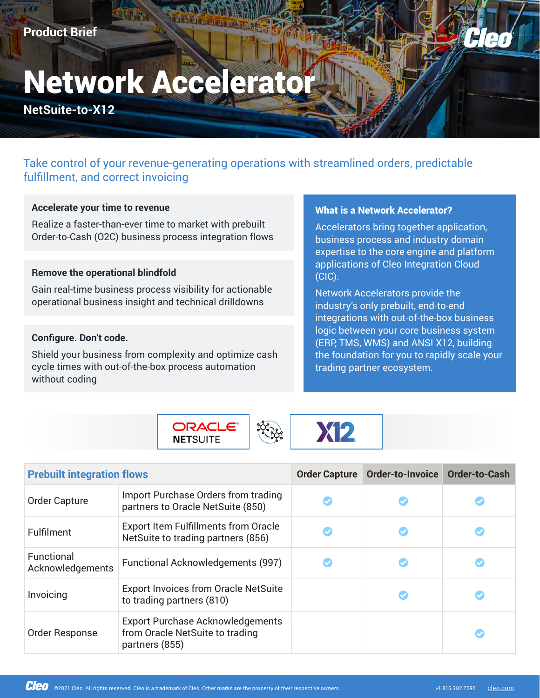# **Network Accelerator**

**Network Accelerator** Product Brief

**NetSuite-to-X12**

# Take control of your revenue-generating operations with streamlined orders, predictable fulfillment, and correct invoicing

#### **Accelerate your time to revenue**

Realize a faster-than-ever time to market with prebuilt Order-to-Cash (O2C) business process integration flows

# **Remove the operational blindfold**

Gain real-time business process visibility for actionable operational business insight and technical drilldowns

# **Configure. Don't code.**

Shield your business from complexity and optimize cash cycle times with out-of-the-box process automation without coding

> **ORACLE**® **NETSUITE**

# What is a Network Accelerator?

Accelerators bring together application, business process and industry domain expertise to the core engine and platform applications of Cleo Integration Cloud (CIC).

Network Accelerators provide the industry's only prebuilt, end-to-end integrations with out-of-the-box business logic between your core business system (ERP, TMS, WMS) and ANSI X12, building the foundation for you to rapidly scale your trading partner ecosystem.



| <b>Prebuilt integration flows</b> |                                                                                              | <b>Order Capture</b> | Order-to-Invoice Order-to-Cash |  |
|-----------------------------------|----------------------------------------------------------------------------------------------|----------------------|--------------------------------|--|
| Order Capture                     | Import Purchase Orders from trading<br>partners to Oracle NetSuite (850)                     |                      |                                |  |
| Fulfilment                        | <b>Export Item Fulfillments from Oracle</b><br>NetSuite to trading partners (856)            |                      |                                |  |
| Functional<br>Acknowledgements    | <b>Functional Acknowledgements (997)</b>                                                     |                      |                                |  |
| Invoicing                         | <b>Export Invoices from Oracle NetSuite</b><br>to trading partners (810)                     |                      |                                |  |
| Order Response                    | <b>Export Purchase Acknowledgements</b><br>from Oracle NetSuite to trading<br>partners (855) |                      |                                |  |